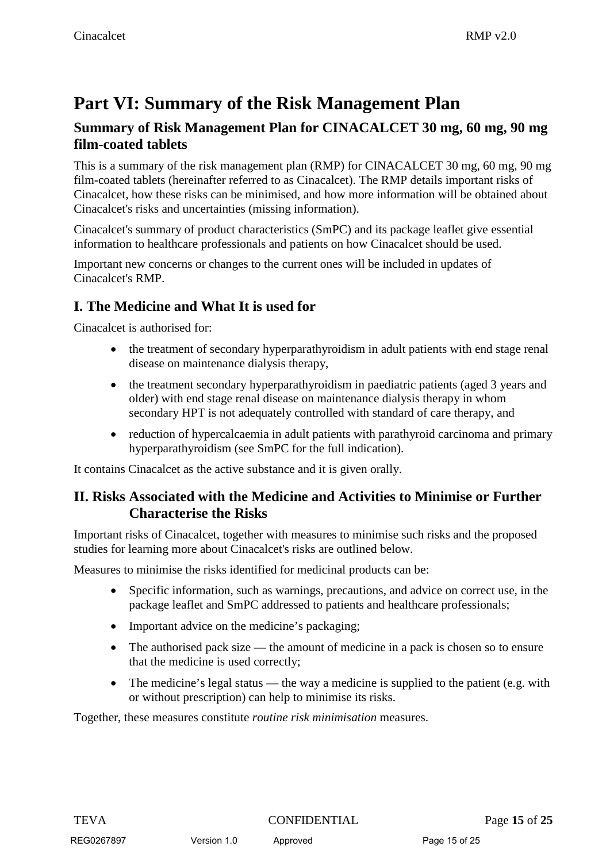# **Part VI: Summary of the Risk Management Plan**

### **Summary of Risk Management Plan for CINACALCET 30 mg, 60 mg, 90 mg film-coated tablets**

This is a summary of the risk management plan (RMP) for CINACALCET 30 mg, 60 mg, 90 mg film-coated tablets (hereinafter referred to as Cinacalcet). The RMP details important risks of Cinacalcet, how these risks can be minimised, and how more information will be obtained about Cinacalcet's risks and uncertainties (missing information).

Cinacalcet's summary of product characteristics (SmPC) and its package leaflet give essential information to healthcare professionals and patients on how Cinacalcet should be used.

Important new concerns or changes to the current ones will be included in updates of Cinacalcet's RMP.

### **I. The Medicine and What It is used for**

Cinacalcet is authorised for:

- the treatment of secondary hyperparathyroidism in adult patients with end stage renal disease on maintenance dialysis therapy,
- the treatment secondary hyperparathyroidism in paediatric patients (aged 3 years and older) with end stage renal disease on maintenance dialysis therapy in whom secondary HPT is not adequately controlled with standard of care therapy, and
- reduction of hypercalcaemia in adult patients with parathyroid carcinoma and primary hyperparathyroidism (see SmPC for the full indication).

It contains Cinacalcet as the active substance and it is given orally.

### **II. Risks Associated with the Medicine and Activities to Minimise or Further Characterise the Risks**

Important risks of Cinacalcet, together with measures to minimise such risks and the proposed studies for learning more about Cinacalcet's risks are outlined below.

Measures to minimise the risks identified for medicinal products can be:

- Specific information, such as warnings, precautions, and advice on correct use, in the package leaflet and SmPC addressed to patients and healthcare professionals;
- Important advice on the medicine's packaging;
- The authorised pack size the amount of medicine in a pack is chosen so to ensure that the medicine is used correctly;
- The medicine's legal status the way a medicine is supplied to the patient (e.g. with or without prescription) can help to minimise its risks.

Together, these measures constitute *routine risk minimisation* measures.